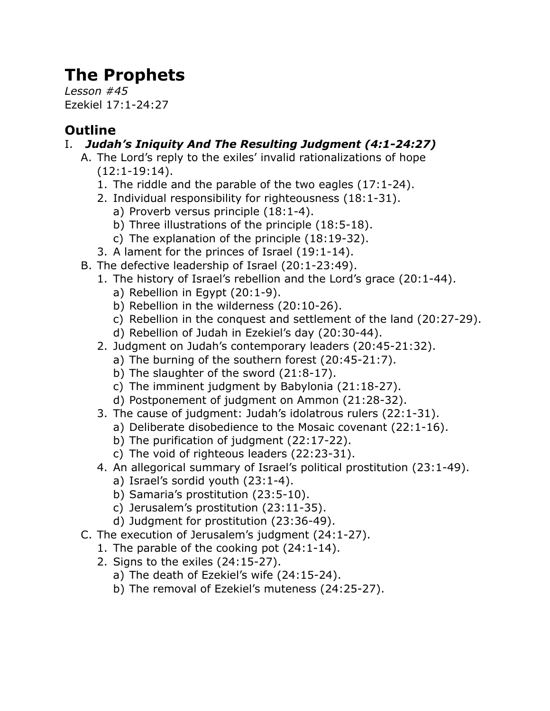# **The Prophets**

*Lesson #45* Ezekiel 17:1-24:27

## **Outline**

### I. *Judah's Iniquity And The Resulting Judgment (4:1-24:27)*

- A. The Lord's reply to the exiles' invalid rationalizations of hope (12:1-19:14).
	- 1. The riddle and the parable of the two eagles (17:1-24).
	- 2. Individual responsibility for righteousness (18:1-31).
		- a) Proverb versus principle (18:1-4).
		- b) Three illustrations of the principle (18:5-18).
		- c) The explanation of the principle (18:19-32).
	- 3. A lament for the princes of Israel (19:1-14).
- B. The defective leadership of Israel (20:1-23:49).
	- 1. The history of Israel's rebellion and the Lord's grace (20:1-44).
		- a) Rebellion in Egypt (20:1-9).
		- b) Rebellion in the wilderness (20:10-26).
		- c) Rebellion in the conquest and settlement of the land (20:27-29).
		- d) Rebellion of Judah in Ezekiel's day (20:30-44).
	- 2. Judgment on Judah's contemporary leaders (20:45-21:32).
		- a) The burning of the southern forest (20:45-21:7).
		- b) The slaughter of the sword (21:8-17).
		- c) The imminent judgment by Babylonia (21:18-27).
		- d) Postponement of judgment on Ammon (21:28-32).
	- 3. The cause of judgment: Judah's idolatrous rulers (22:1-31).
		- a) Deliberate disobedience to the Mosaic covenant (22:1-16).
			- b) The purification of judgment (22:17-22).
			- c) The void of righteous leaders (22:23-31).
	- 4. An allegorical summary of Israel's political prostitution (23:1-49).
		- a) Israel's sordid youth (23:1-4).
		- b) Samaria's prostitution (23:5-10).
		- c) Jerusalem's prostitution (23:11-35).
		- d) Judgment for prostitution (23:36-49).
- C. The execution of Jerusalem's judgment (24:1-27).
	- 1. The parable of the cooking pot (24:1-14).
	- 2. Signs to the exiles (24:15-27).
		- a) The death of Ezekiel's wife (24:15-24).
		- b) The removal of Ezekiel's muteness (24:25-27).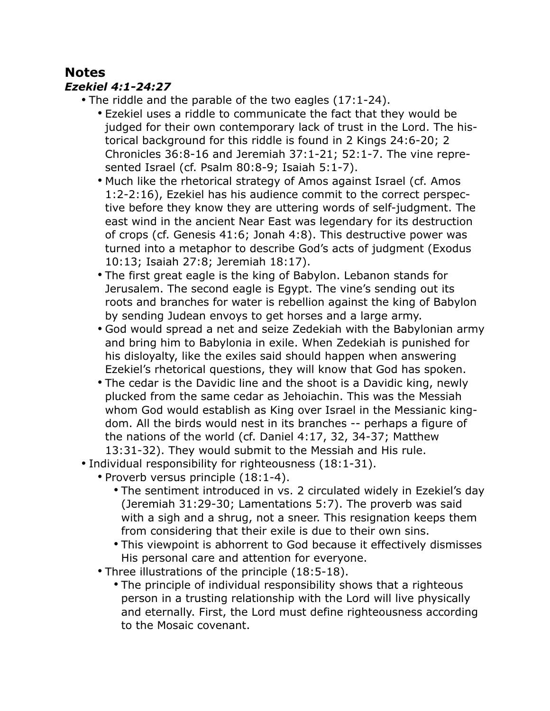### **Notes**

#### *Ezekiel 4:1-24:27*

- The riddle and the parable of the two eagles (17:1-24).
	- Ezekiel uses a riddle to communicate the fact that they would be judged for their own contemporary lack of trust in the Lord. The historical background for this riddle is found in 2 Kings 24:6-20; 2 Chronicles 36:8-16 and Jeremiah 37:1-21; 52:1-7. The vine represented Israel (cf. Psalm 80:8-9; Isaiah 5:1-7).
	- Much like the rhetorical strategy of Amos against Israel (cf. Amos 1:2-2:16), Ezekiel has his audience commit to the correct perspective before they know they are uttering words of self-judgment. The east wind in the ancient Near East was legendary for its destruction of crops (cf. Genesis 41:6; Jonah 4:8). This destructive power was turned into a metaphor to describe God's acts of judgment (Exodus 10:13; Isaiah 27:8; Jeremiah 18:17).
	- The first great eagle is the king of Babylon. Lebanon stands for Jerusalem. The second eagle is Egypt. The vine's sending out its roots and branches for water is rebellion against the king of Babylon by sending Judean envoys to get horses and a large army.
	- God would spread a net and seize Zedekiah with the Babylonian army and bring him to Babylonia in exile. When Zedekiah is punished for his disloyalty, like the exiles said should happen when answering Ezekiel's rhetorical questions, they will know that God has spoken.
	- The cedar is the Davidic line and the shoot is a Davidic king, newly plucked from the same cedar as Jehoiachin. This was the Messiah whom God would establish as King over Israel in the Messianic kingdom. All the birds would nest in its branches -- perhaps a figure of the nations of the world (cf. Daniel 4:17, 32, 34-37; Matthew 13:31-32). They would submit to the Messiah and His rule.
- Individual responsibility for righteousness (18:1-31).
	- Proverb versus principle (18:1-4).
		- The sentiment introduced in vs. 2 circulated widely in Ezekiel's day (Jeremiah 31:29-30; Lamentations 5:7). The proverb was said with a sigh and a shrug, not a sneer. This resignation keeps them from considering that their exile is due to their own sins.
		- This viewpoint is abhorrent to God because it effectively dismisses His personal care and attention for everyone.
	- Three illustrations of the principle (18:5-18).
		- The principle of individual responsibility shows that a righteous person in a trusting relationship with the Lord will live physically and eternally. First, the Lord must define righteousness according to the Mosaic covenant.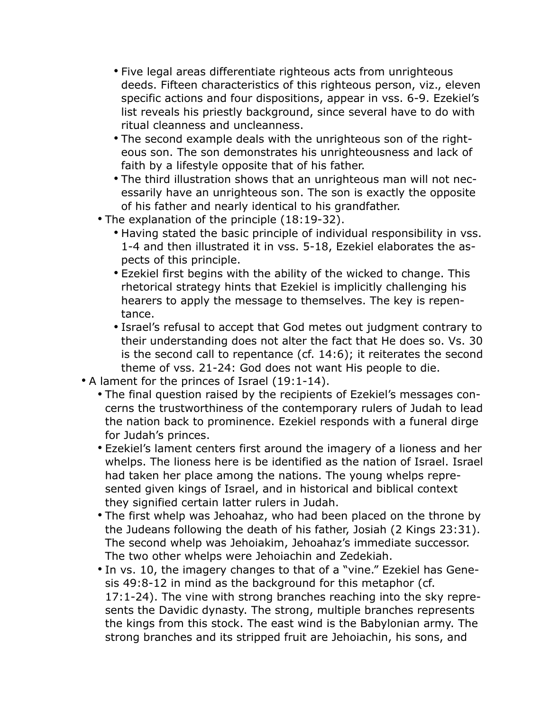- Five legal areas differentiate righteous acts from unrighteous deeds. Fifteen characteristics of this righteous person, viz., eleven specific actions and four dispositions, appear in vss. 6-9. Ezekiel's list reveals his priestly background, since several have to do with ritual cleanness and uncleanness.
- The second example deals with the unrighteous son of the righteous son. The son demonstrates his unrighteousness and lack of faith by a lifestyle opposite that of his father.
- The third illustration shows that an unrighteous man will not necessarily have an unrighteous son. The son is exactly the opposite of his father and nearly identical to his grandfather.
- The explanation of the principle (18:19-32).
	- Having stated the basic principle of individual responsibility in vss. 1-4 and then illustrated it in vss. 5-18, Ezekiel elaborates the aspects of this principle.
	- Ezekiel first begins with the ability of the wicked to change. This rhetorical strategy hints that Ezekiel is implicitly challenging his hearers to apply the message to themselves. The key is repentance.
	- Israel's refusal to accept that God metes out judgment contrary to their understanding does not alter the fact that He does so. Vs. 30 is the second call to repentance (cf. 14:6); it reiterates the second theme of vss. 21-24: God does not want His people to die.
- A lament for the princes of Israel (19:1-14).
	- The final question raised by the recipients of Ezekiel's messages concerns the trustworthiness of the contemporary rulers of Judah to lead the nation back to prominence. Ezekiel responds with a funeral dirge for Judah's princes.
	- Ezekiel's lament centers first around the imagery of a lioness and her whelps. The lioness here is be identified as the nation of Israel. Israel had taken her place among the nations. The young whelps represented given kings of Israel, and in historical and biblical context they signified certain latter rulers in Judah.
	- The first whelp was Jehoahaz, who had been placed on the throne by the Judeans following the death of his father, Josiah (2 Kings 23:31). The second whelp was Jehoiakim, Jehoahaz's immediate successor. The two other whelps were Jehoiachin and Zedekiah.
	- In vs. 10, the imagery changes to that of a "vine." Ezekiel has Genesis 49:8-12 in mind as the background for this metaphor (cf. 17:1-24). The vine with strong branches reaching into the sky represents the Davidic dynasty. The strong, multiple branches represents the kings from this stock. The east wind is the Babylonian army. The strong branches and its stripped fruit are Jehoiachin, his sons, and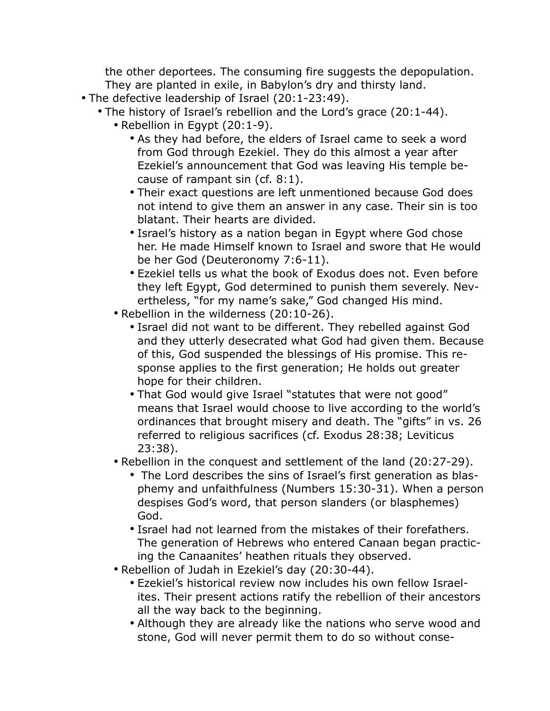the other deportees. The consuming fire suggests the depopulation. They are planted in exile, in Babylon's dry and thirsty land.

- The defective leadership of Israel (20:1-23:49).
	- The history of Israel's rebellion and the Lord's grace (20:1-44).
		- Rebellion in Egypt (20:1-9).
			- As they had before, the elders of Israel came to seek a word from God through Ezekiel. They do this almost a year after Ezekiel's announcement that God was leaving His temple because of rampant sin (cf. 8:1).
			- Their exact questions are left unmentioned because God does not intend to give them an answer in any case. Their sin is too blatant. Their hearts are divided.
			- Israel's history as a nation began in Egypt where God chose her. He made Himself known to Israel and swore that He would be her God (Deuteronomy 7:6-11).
			- Ezekiel tells us what the book of Exodus does not. Even before they left Egypt, God determined to punish them severely. Nevertheless, "for my name's sake," God changed His mind.
		- Rebellion in the wilderness (20:10-26).
			- Israel did not want to be different. They rebelled against God and they utterly desecrated what God had given them. Because of this, God suspended the blessings of His promise. This response applies to the first generation; He holds out greater hope for their children.
			- That God would give Israel "statutes that were not good" means that Israel would choose to live according to the world's ordinances that brought misery and death. The "gifts" in vs. 26 referred to religious sacrifices (cf. Exodus 28:38; Leviticus 23:38).
		- Rebellion in the conquest and settlement of the land (20:27-29).
			- The Lord describes the sins of Israel's first generation as blasphemy and unfaithfulness (Numbers 15:30-31). When a person despises God's word, that person slanders (or blasphemes) God.
			- Israel had not learned from the mistakes of their forefathers. The generation of Hebrews who entered Canaan began practicing the Canaanites' heathen rituals they observed.
		- Rebellion of Judah in Ezekiel's day (20:30-44).
			- Ezekiel's historical review now includes his own fellow Israelites. Their present actions ratify the rebellion of their ancestors all the way back to the beginning.
			- Although they are already like the nations who serve wood and stone, God will never permit them to do so without conse-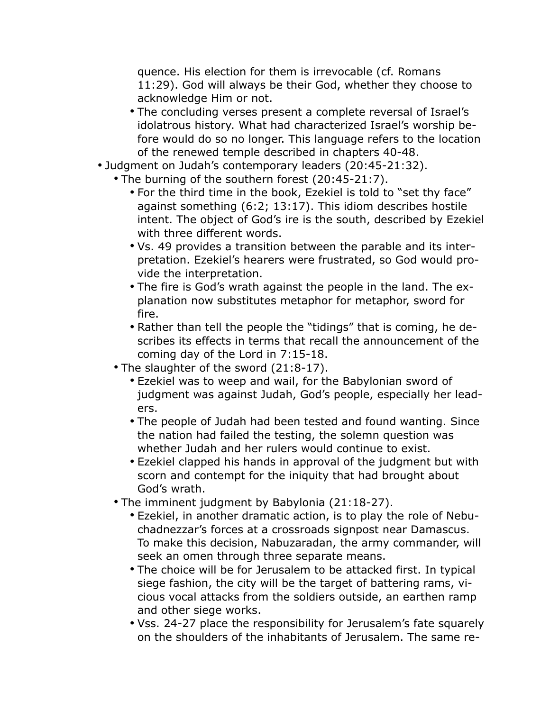quence. His election for them is irrevocable (cf. Romans 11:29). God will always be their God, whether they choose to acknowledge Him or not.

- The concluding verses present a complete reversal of Israel's idolatrous history. What had characterized Israel's worship before would do so no longer. This language refers to the location of the renewed temple described in chapters 40-48.
- Judgment on Judah's contemporary leaders (20:45-21:32).
	- The burning of the southern forest (20:45-21:7).
		- For the third time in the book, Ezekiel is told to "set thy face" against something (6:2; 13:17). This idiom describes hostile intent. The object of God's ire is the south, described by Ezekiel with three different words.
		- Vs. 49 provides a transition between the parable and its interpretation. Ezekiel's hearers were frustrated, so God would provide the interpretation.
		- The fire is God's wrath against the people in the land. The explanation now substitutes metaphor for metaphor, sword for fire.
		- Rather than tell the people the "tidings" that is coming, he describes its effects in terms that recall the announcement of the coming day of the Lord in 7:15-18.
	- The slaughter of the sword (21:8-17).
		- Ezekiel was to weep and wail, for the Babylonian sword of judgment was against Judah, God's people, especially her leaders.
		- The people of Judah had been tested and found wanting. Since the nation had failed the testing, the solemn question was whether Judah and her rulers would continue to exist.
		- Ezekiel clapped his hands in approval of the judgment but with scorn and contempt for the iniquity that had brought about God's wrath.
	- The imminent judgment by Babylonia (21:18-27).
		- Ezekiel, in another dramatic action, is to play the role of Nebuchadnezzar's forces at a crossroads signpost near Damascus. To make this decision, Nabuzaradan, the army commander, will seek an omen through three separate means.
		- The choice will be for Jerusalem to be attacked first. In typical siege fashion, the city will be the target of battering rams, vicious vocal attacks from the soldiers outside, an earthen ramp and other siege works.
		- Vss. 24-27 place the responsibility for Jerusalem's fate squarely on the shoulders of the inhabitants of Jerusalem. The same re-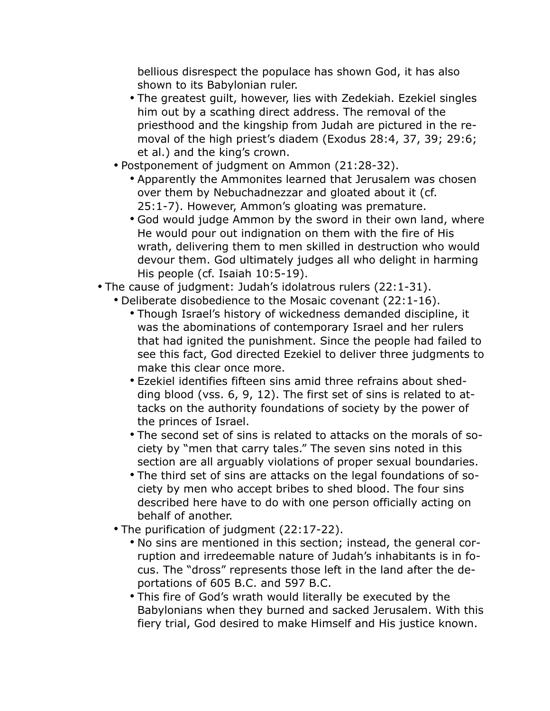bellious disrespect the populace has shown God, it has also shown to its Babylonian ruler.

- The greatest guilt, however, lies with Zedekiah. Ezekiel singles him out by a scathing direct address. The removal of the priesthood and the kingship from Judah are pictured in the removal of the high priest's diadem (Exodus 28:4, 37, 39; 29:6; et al.) and the king's crown.
- Postponement of judgment on Ammon (21:28-32).
	- Apparently the Ammonites learned that Jerusalem was chosen over them by Nebuchadnezzar and gloated about it (cf. 25:1-7). However, Ammon's gloating was premature.
	- God would judge Ammon by the sword in their own land, where He would pour out indignation on them with the fire of His wrath, delivering them to men skilled in destruction who would devour them. God ultimately judges all who delight in harming His people (cf. Isaiah 10:5-19).
- The cause of judgment: Judah's idolatrous rulers (22:1-31).
	- Deliberate disobedience to the Mosaic covenant (22:1-16).
		- Though Israel's history of wickedness demanded discipline, it was the abominations of contemporary Israel and her rulers that had ignited the punishment. Since the people had failed to see this fact, God directed Ezekiel to deliver three judgments to make this clear once more.
		- Ezekiel identifies fifteen sins amid three refrains about shedding blood (vss. 6, 9, 12). The first set of sins is related to attacks on the authority foundations of society by the power of the princes of Israel.
		- The second set of sins is related to attacks on the morals of society by "men that carry tales." The seven sins noted in this section are all arguably violations of proper sexual boundaries.
		- The third set of sins are attacks on the legal foundations of society by men who accept bribes to shed blood. The four sins described here have to do with one person officially acting on behalf of another.
	- The purification of judgment (22:17-22).
		- No sins are mentioned in this section; instead, the general corruption and irredeemable nature of Judah's inhabitants is in focus. The "dross" represents those left in the land after the deportations of 605 B.C. and 597 B.C.
		- This fire of God's wrath would literally be executed by the Babylonians when they burned and sacked Jerusalem. With this fiery trial, God desired to make Himself and His justice known.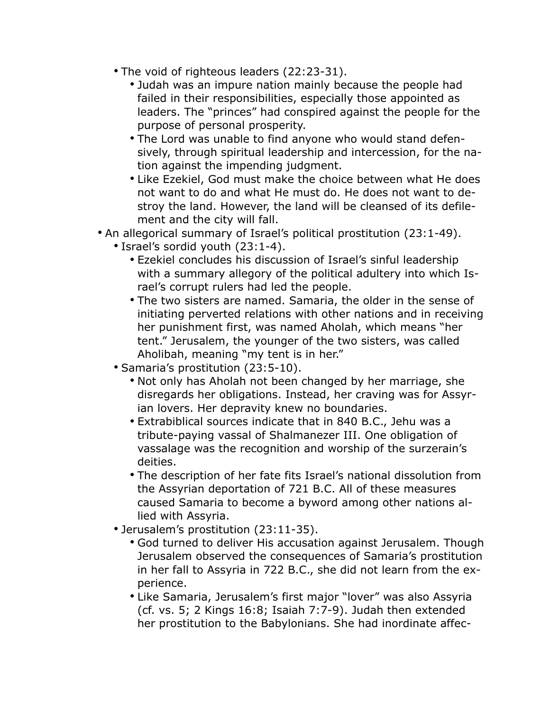- The void of righteous leaders (22:23-31).
	- Judah was an impure nation mainly because the people had failed in their responsibilities, especially those appointed as leaders. The "princes" had conspired against the people for the purpose of personal prosperity.
	- The Lord was unable to find anyone who would stand defensively, through spiritual leadership and intercession, for the nation against the impending judgment.
	- Like Ezekiel, God must make the choice between what He does not want to do and what He must do. He does not want to destroy the land. However, the land will be cleansed of its defilement and the city will fall.
- An allegorical summary of Israel's political prostitution (23:1-49).
	- Israel's sordid youth (23:1-4).
		- Ezekiel concludes his discussion of Israel's sinful leadership with a summary allegory of the political adultery into which Israel's corrupt rulers had led the people.
		- The two sisters are named. Samaria, the older in the sense of initiating perverted relations with other nations and in receiving her punishment first, was named Aholah, which means "her tent." Jerusalem, the younger of the two sisters, was called Aholibah, meaning "my tent is in her."
	- Samaria's prostitution (23:5-10).
		- Not only has Aholah not been changed by her marriage, she disregards her obligations. Instead, her craving was for Assyrian lovers. Her depravity knew no boundaries.
		- Extrabiblical sources indicate that in 840 B.C., Jehu was a tribute-paying vassal of Shalmanezer III. One obligation of vassalage was the recognition and worship of the surzerain's deities.
		- The description of her fate fits Israel's national dissolution from the Assyrian deportation of 721 B.C. All of these measures caused Samaria to become a byword among other nations allied with Assyria.
	- Jerusalem's prostitution (23:11-35).
		- God turned to deliver His accusation against Jerusalem. Though Jerusalem observed the consequences of Samaria's prostitution in her fall to Assyria in 722 B.C., she did not learn from the experience.
		- Like Samaria, Jerusalem's first major "lover" was also Assyria (cf. vs. 5; 2 Kings 16:8; Isaiah 7:7-9). Judah then extended her prostitution to the Babylonians. She had inordinate affec-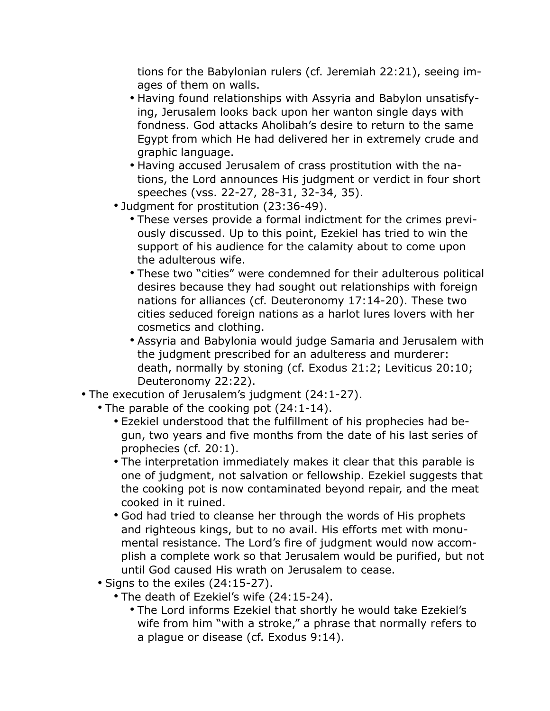tions for the Babylonian rulers (cf. Jeremiah 22:21), seeing images of them on walls.

- Having found relationships with Assyria and Babylon unsatisfying, Jerusalem looks back upon her wanton single days with fondness. God attacks Aholibah's desire to return to the same Egypt from which He had delivered her in extremely crude and graphic language.
- Having accused Jerusalem of crass prostitution with the nations, the Lord announces His judgment or verdict in four short speeches (vss. 22-27, 28-31, 32-34, 35).
- Judgment for prostitution (23:36-49).
	- These verses provide a formal indictment for the crimes previously discussed. Up to this point, Ezekiel has tried to win the support of his audience for the calamity about to come upon the adulterous wife.
	- These two "cities" were condemned for their adulterous political desires because they had sought out relationships with foreign nations for alliances (cf. Deuteronomy 17:14-20). These two cities seduced foreign nations as a harlot lures lovers with her cosmetics and clothing.
	- Assyria and Babylonia would judge Samaria and Jerusalem with the judgment prescribed for an adulteress and murderer: death, normally by stoning (cf. Exodus 21:2; Leviticus 20:10; Deuteronomy 22:22).
- The execution of Jerusalem's judgment (24:1-27).
	- The parable of the cooking pot (24:1-14).
		- Ezekiel understood that the fulfillment of his prophecies had begun, two years and five months from the date of his last series of prophecies (cf. 20:1).
		- The interpretation immediately makes it clear that this parable is one of judgment, not salvation or fellowship. Ezekiel suggests that the cooking pot is now contaminated beyond repair, and the meat cooked in it ruined.
		- God had tried to cleanse her through the words of His prophets and righteous kings, but to no avail. His efforts met with monumental resistance. The Lord's fire of judgment would now accomplish a complete work so that Jerusalem would be purified, but not until God caused His wrath on Jerusalem to cease.
	- Signs to the exiles (24:15-27).
		- The death of Ezekiel's wife (24:15-24).
			- The Lord informs Ezekiel that shortly he would take Ezekiel's wife from him "with a stroke," a phrase that normally refers to a plague or disease (cf. Exodus 9:14).